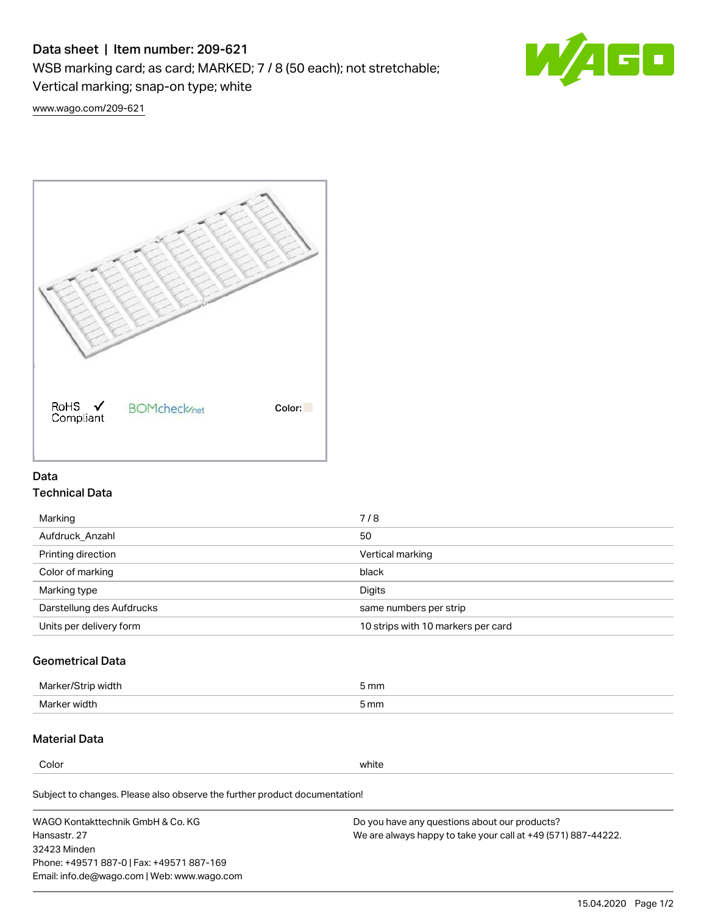# Data sheet | Item number: 209-621

WSB marking card; as card; MARKED; 7 / 8 (50 each); not stretchable;

Vertical marking; snap-on type; white



[www.wago.com/209-621](http://www.wago.com/209-621)



### Data Technical Data

| Marking                   | 7/8                                |
|---------------------------|------------------------------------|
| Aufdruck Anzahl           | 50                                 |
| Printing direction        | Vertical marking                   |
| Color of marking          | black                              |
| Marking type              | Digits                             |
| Darstellung des Aufdrucks | same numbers per strip             |
| Units per delivery form   | 10 strips with 10 markers per card |

## Geometrical Data

| Marker<br>width | mm   |
|-----------------|------|
| Marke<br>width  | 5 mm |

### Material Data

Color white

Subject to changes. Please also observe the further product documentation!

WAGO Kontakttechnik GmbH & Co. KG Hansastr. 27 32423 Minden Phone: +49571 887-0 | Fax: +49571 887-169 Email: info.de@wago.com | Web: www.wago.com Do you have any questions about our products? We are always happy to take your call at +49 (571) 887-44222.